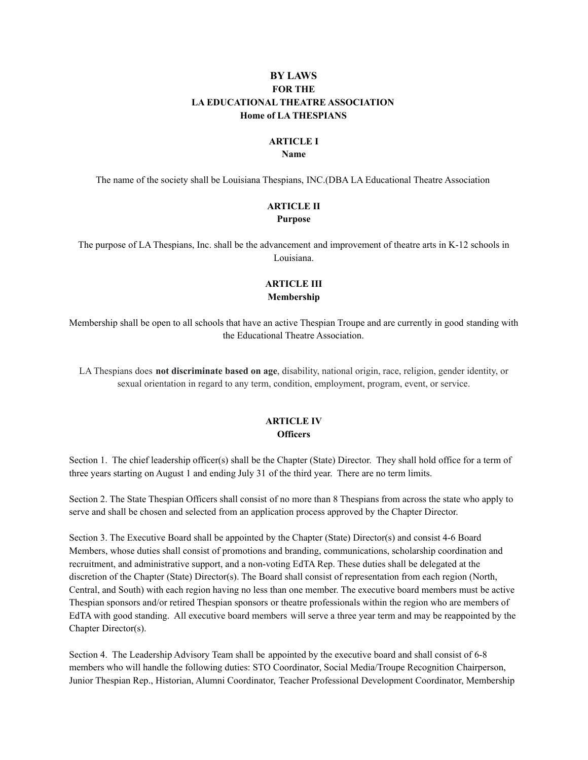# **BY LAWS FOR THE LA EDUCATIONAL THEATRE ASSOCIATION Home of LA THESPIANS**

#### **ARTICLE I**

#### **Name**

The name of the society shall be Louisiana Thespians, INC.(DBA LA Educational Theatre Association

# **ARTICLE II**

### **Purpose**

The purpose of LA Thespians, Inc. shall be the advancement and improvement of theatre arts in K-12 schools in Louisiana.

### **ARTICLE III Membership**

Membership shall be open to all schools that have an active Thespian Troupe and are currently in good standing with the Educational Theatre Association.

LA Thespians does **not discriminate based on age**, disability, national origin, race, religion, gender identity, or sexual orientation in regard to any term, condition, employment, program, event, or service.

## **ARTICLE IV Officers**

Section 1. The chief leadership officer(s) shall be the Chapter (State) Director. They shall hold office for a term of three years starting on August 1 and ending July 31 of the third year. There are no term limits.

Section 2. The State Thespian Officers shall consist of no more than 8 Thespians from across the state who apply to serve and shall be chosen and selected from an application process approved by the Chapter Director.

Section 3. The Executive Board shall be appointed by the Chapter (State) Director(s) and consist 4-6 Board Members, whose duties shall consist of promotions and branding, communications, scholarship coordination and recruitment, and administrative support, and a non-voting EdTA Rep. These duties shall be delegated at the discretion of the Chapter (State) Director(s). The Board shall consist of representation from each region (North, Central, and South) with each region having no less than one member. The executive board members must be active Thespian sponsors and/or retired Thespian sponsors or theatre professionals within the region who are members of EdTA with good standing. All executive board members will serve a three year term and may be reappointed by the Chapter Director(s).

Section 4. The Leadership Advisory Team shall be appointed by the executive board and shall consist of 6-8 members who will handle the following duties: STO Coordinator, Social Media/Troupe Recognition Chairperson, Junior Thespian Rep., Historian, Alumni Coordinator, Teacher Professional Development Coordinator, Membership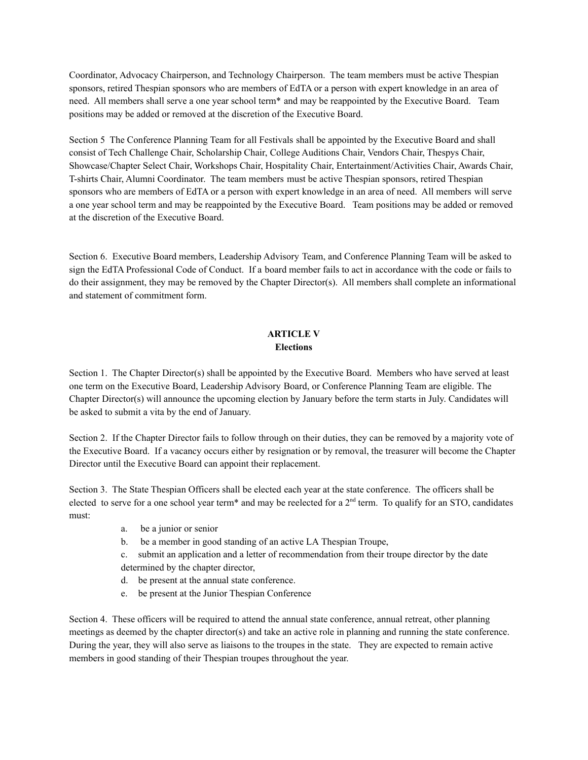Coordinator, Advocacy Chairperson, and Technology Chairperson. The team members must be active Thespian sponsors, retired Thespian sponsors who are members of EdTA or a person with expert knowledge in an area of need. All members shall serve a one year school term\* and may be reappointed by the Executive Board. Team positions may be added or removed at the discretion of the Executive Board.

Section 5 The Conference Planning Team for all Festivals shall be appointed by the Executive Board and shall consist of Tech Challenge Chair, Scholarship Chair, College Auditions Chair, Vendors Chair, Thespys Chair, Showcase/Chapter Select Chair, Workshops Chair, Hospitality Chair, Entertainment/Activities Chair, Awards Chair, T-shirts Chair, Alumni Coordinator. The team members must be active Thespian sponsors, retired Thespian sponsors who are members of EdTA or a person with expert knowledge in an area of need. All members will serve a one year school term and may be reappointed by the Executive Board. Team positions may be added or removed at the discretion of the Executive Board.

Section 6. Executive Board members, Leadership Advisory Team, and Conference Planning Team will be asked to sign the EdTA Professional Code of Conduct. If a board member fails to act in accordance with the code or fails to do their assignment, they may be removed by the Chapter Director(s). All members shall complete an informational and statement of commitment form.

# **ARTICLE V Elections**

Section 1. The Chapter Director(s) shall be appointed by the Executive Board. Members who have served at least one term on the Executive Board, Leadership Advisory Board, or Conference Planning Team are eligible. The Chapter Director(s) will announce the upcoming election by January before the term starts in July. Candidates will be asked to submit a vita by the end of January.

Section 2. If the Chapter Director fails to follow through on their duties, they can be removed by a majority vote of the Executive Board. If a vacancy occurs either by resignation or by removal, the treasurer will become the Chapter Director until the Executive Board can appoint their replacement.

Section 3. The State Thespian Officers shall be elected each year at the state conference. The officers shall be elected to serve for a one school year term\* and may be reelected for a  $2<sup>nd</sup>$  term. To qualify for an STO, candidates must:

- a. be a junior or senior
- b. be a member in good standing of an active LA Thespian Troupe,

c. submit an application and a letter of recommendation from their troupe director by the date determined by the chapter director,

- d. be present at the annual state conference.
- e. be present at the Junior Thespian Conference

Section 4. These officers will be required to attend the annual state conference, annual retreat, other planning meetings as deemed by the chapter director(s) and take an active role in planning and running the state conference. During the year, they will also serve as liaisons to the troupes in the state. They are expected to remain active members in good standing of their Thespian troupes throughout the year.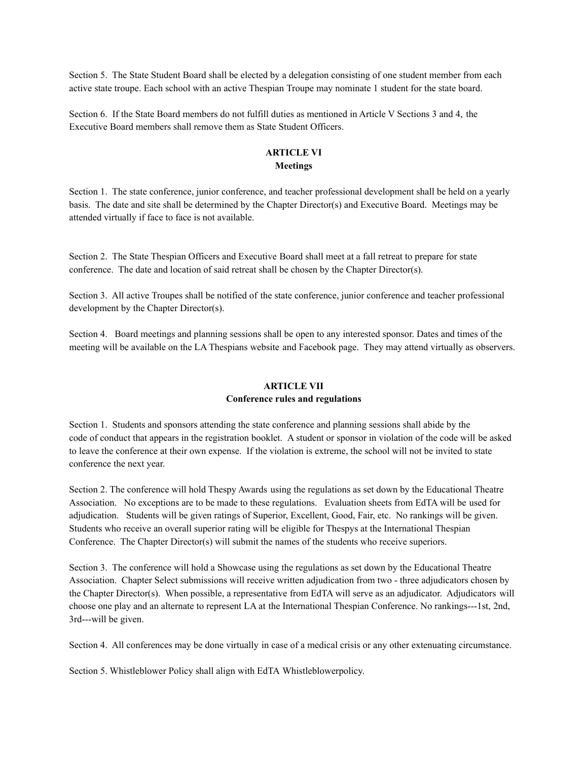Section 5. The State Student Board shall be elected by a delegation consisting of one student member from each active state troupe. Each school with an active Thespian Troupe may nominate 1 student for the state board.

Section 6. If the State Board members do not fulfill duties as mentioned in Article V Sections 3 and 4, the Executive Board members shall remove them as State Student Officers.

# **ARTICLE VI Meetings**

Section 1. The state conference, junior conference, and teacher professional development shall be held on a yearly basis. The date and site shall be determined by the Chapter Director(s) and Executive Board. Meetings may be attended virtually if face to face is not available.

Section 2. The State Thespian Officers and Executive Board shall meet at a fall retreat to prepare for state conference. The date and location of said retreat shall be chosen by the Chapter Director(s).

Section 3. All active Troupes shall be notified of the state conference, junior conference and teacher professional development by the Chapter Director(s).

Section 4. Board meetings and planning sessions shall be open to any interested sponsor. Dates and times of the meeting will be available on the LA Thespians website and Facebook page. They may attend virtually as observers.

# **ARTICLE VII**

#### **Conference rules and regulations**

Section 1. Students and sponsors attending the state conference and planning sessions shall abide by the code of conduct that appears in the registration booklet. A student or sponsor in violation of the code will be asked to leave the conference at their own expense. If the violation is extreme, the school will not be invited to state conference the next year.

Section 2. The conference will hold Thespy Awards using the regulations as set down by the Educational Theatre Association. No exceptions are to be made to these regulations. Evaluation sheets from EdTA will be used for adjudication. Students will be given ratings of Superior, Excellent, Good, Fair, etc. No rankings will be given. Students who receive an overall superior rating will be eligible for Thespys at the International Thespian Conference. The Chapter Director(s) will submit the names of the students who receive superiors.

Section 3. The conference will hold a Showcase using the regulations as set down by the Educational Theatre Association. Chapter Select submissions will receive written adjudication from two - three adjudicators chosen by the Chapter Director(s). When possible, a representative from EdTA will serve as an adjudicator. Adjudicators will choose one play and an alternate to represent LA at the International Thespian Conference. No rankings---1st, 2nd, 3rd---will be given.

Section 4. All conferences may be done virtually in case of a medical crisis or any other extenuating circumstance.

Section 5. Whistleblower Policy shall align with EdTA Whistleblowerpolicy.